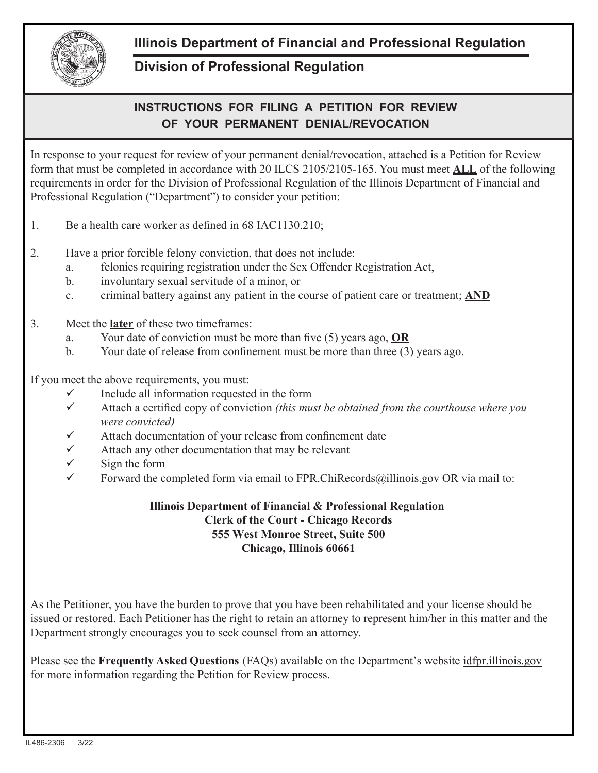

## **Illinois Department of Financial and Professional Regulation**

## **Division of Professional Regulation**

## **INSTRUCTIONS FOR FILING A PETITION FOR REVIEW OF YOUR PERMANENT DENIAL/REVOCATION**

In response to your request for review of your permanent denial/revocation, attached is a Petition for Review form that must be completed in accordance with 20 ILCS 2105/2105-165. You must meet **ALL** of the following requirements in order for the Division of Professional Regulation of the Illinois Department of Financial and Professional Regulation ("Department") to consider your petition:

- 1. Be a health care worker as defined in 68 IAC1130.210;
- 2. Have a prior forcible felony conviction, that does not include:
	- a. felonies requiring registration under the Sex Offender Registration Act,
	- b. involuntary sexual servitude of a minor, or
	- c. criminal battery against any patient in the course of patient care or treatment; **AND**
- 3. Meet the **later** of these two timeframes:
	- a. Your date of conviction must be more than five (5) years ago, **OR**
	- b. Your date of release from confinement must be more than three (3) years ago.

If you meet the above requirements, you must:

- $\checkmark$  Include all information requested in the form
- $\checkmark$  Attach a certified copy of conviction *(this must be obtained from the courthouse where you were convicted)*
- Attach documentation of your release from confinement date
- Attach any other documentation that may be relevant
- $\checkmark$  Sign the form
- Forward the completed form via email to FPR.ChiRecords@illinois.gov OR via mail to:

## **Illinois Department of Financial & Professional Regulation Clerk of the Court - Chicago Records 555 West Monroe Street, Suite 500 Chicago, Illinois 60661**

As the Petitioner, you have the burden to prove that you have been rehabilitated and your license should be issued or restored. Each Petitioner has the right to retain an attorney to represent him/her in this matter and the Department strongly encourages you to seek counsel from an attorney.

Please see the **Frequently Asked Questions** (FAQs) available on the Department's website idfpr.illinois.gov for more information regarding the Petition for Review process.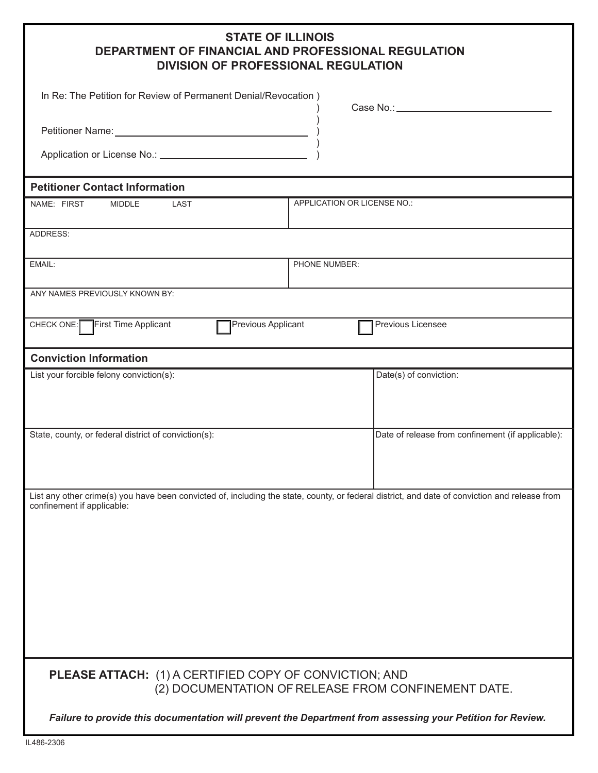| <b>STATE OF ILLINOIS</b>                            |
|-----------------------------------------------------|
| DEPARTMENT OF FINANCIAL AND PROFESSIONAL REGULATION |
| <b>DIVISION OF PROFESSIONAL REGULATION</b>          |

| UN UL LIVE EUUIUNAE REUUEALIUR                                                                                                                                              |               |                                                   |  |  |
|-----------------------------------------------------------------------------------------------------------------------------------------------------------------------------|---------------|---------------------------------------------------|--|--|
| In Re: The Petition for Review of Permanent Denial/Revocation)                                                                                                              |               | Case No.: _____________                           |  |  |
|                                                                                                                                                                             |               |                                                   |  |  |
|                                                                                                                                                                             |               |                                                   |  |  |
| <b>Petitioner Contact Information</b>                                                                                                                                       |               |                                                   |  |  |
| APPLICATION OR LICENSE NO.:<br>NAME: FIRST<br><b>LAST</b><br><b>MIDDLE</b>                                                                                                  |               |                                                   |  |  |
| ADDRESS:                                                                                                                                                                    |               |                                                   |  |  |
| EMAIL:                                                                                                                                                                      | PHONE NUMBER: |                                                   |  |  |
| ANY NAMES PREVIOUSLY KNOWN BY:                                                                                                                                              |               |                                                   |  |  |
| First Time Applicant<br>CHECK ONE:<br>Previous Applicant                                                                                                                    |               | Previous Licensee                                 |  |  |
| <b>Conviction Information</b>                                                                                                                                               |               |                                                   |  |  |
| List your forcible felony conviction(s):                                                                                                                                    |               | Date(s) of conviction:                            |  |  |
| State, county, or federal district of conviction(s):                                                                                                                        |               | Date of release from confinement (if applicable): |  |  |
| List any other crime(s) you have been convicted of, including the state, county, or federal district, and date of conviction and release from<br>confinement if applicable: |               |                                                   |  |  |
|                                                                                                                                                                             |               |                                                   |  |  |
| <b>PLEASE ATTACH:</b> (1) A CERTIFIED COPY OF CONVICTION; AND<br>(2) DOCUMENTATION OF RELEASE FROM CONFINEMENT DATE.                                                        |               |                                                   |  |  |
| Failure to provide this documentation will prevent the Department from assessing your Petition for Review.                                                                  |               |                                                   |  |  |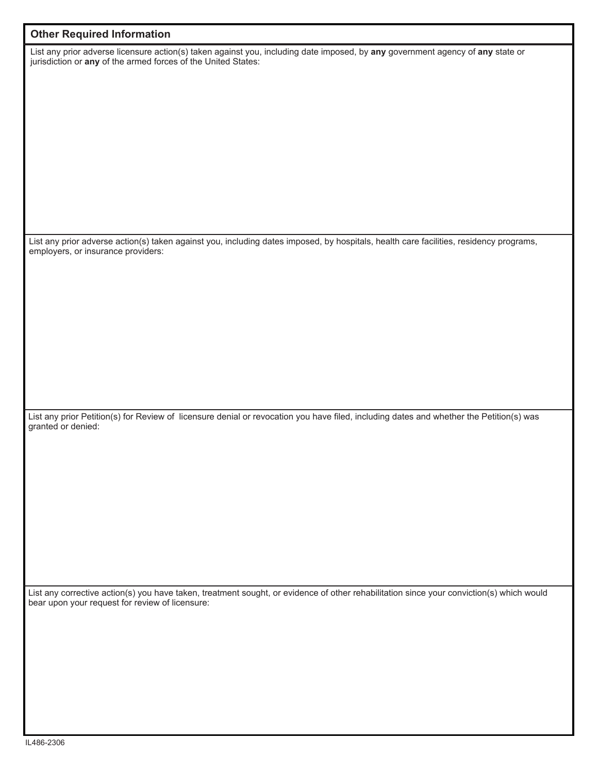| <b>Other Required Information</b>                                                                                                                                                               |
|-------------------------------------------------------------------------------------------------------------------------------------------------------------------------------------------------|
| List any prior adverse licensure action(s) taken against you, including date imposed, by any government agency of any state or<br>jurisdiction or any of the armed forces of the United States: |
|                                                                                                                                                                                                 |
|                                                                                                                                                                                                 |
| List any prior adverse action(s) taken against you, including dates imposed, by hospitals, health care facilities, residency programs,<br>employers, or insurance providers:                    |
|                                                                                                                                                                                                 |
|                                                                                                                                                                                                 |
|                                                                                                                                                                                                 |
| List any prior Petition(s) for Review of licensure denial or revocation you have filed, including dates and whether the Petition(s) was<br>granted or denied:                                   |
|                                                                                                                                                                                                 |
|                                                                                                                                                                                                 |
|                                                                                                                                                                                                 |
| List any corrective action(s) you have taken, treatment sought, or evidence of other rehabilitation since your conviction(s) which would<br>bear upon your request for review of licensure:     |
|                                                                                                                                                                                                 |
|                                                                                                                                                                                                 |